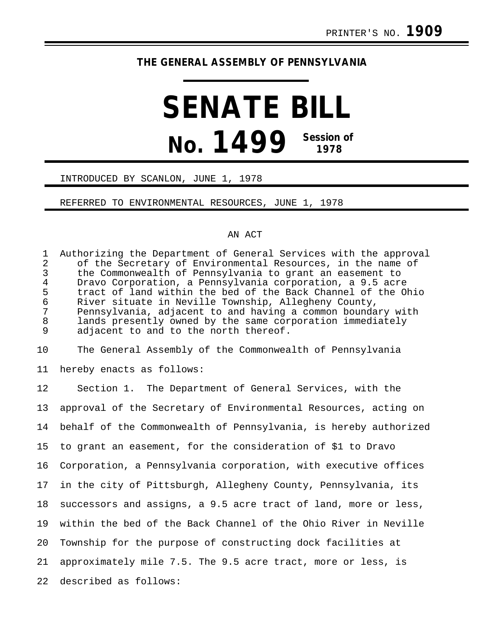# **THE GENERAL ASSEMBLY OF PENNSYLVANIA**

# **SENATE BILL No. 1499 Session of 1978**

## INTRODUCED BY SCANLON, JUNE 1, 1978

### REFERRED TO ENVIRONMENTAL RESOURCES, JUNE 1, 1978

### AN ACT

1 Authorizing the Department of General Services with the approval<br>2 of the Secretary of Environmental Resources, in the name of 2 of the Secretary of Environmental Resources, in the name of<br>3 the Commonwealth of Pennsylvania to grant an easement to 3 the Commonwealth of Pennsylvania to grant an easement to<br>4 Dravo Corporation, a Pennsylvania corporation, a 9.5 acre 4 Dravo Corporation, a Pennsylvania corporation, a 9.5 acre 5 tract of land within the bed of the Back Channel of the Ohio<br>6 River situate in Neville Township, Allegheny County, 6 River situate in Neville Township, Allegheny County, 7 Pennsylvania, adjacent to and having a common boundary with 8 lands presently owned by the same corporation immediately<br>9 adjacent to and to the north thereof. adjacent to and to the north thereof.

10 The General Assembly of the Commonwealth of Pennsylvania

11 hereby enacts as follows:

12 Section 1. The Department of General Services, with the 13 approval of the Secretary of Environmental Resources, acting on 14 behalf of the Commonwealth of Pennsylvania, is hereby authorized 15 to grant an easement, for the consideration of \$1 to Dravo 16 Corporation, a Pennsylvania corporation, with executive offices 17 in the city of Pittsburgh, Allegheny County, Pennsylvania, its 18 successors and assigns, a 9.5 acre tract of land, more or less, 19 within the bed of the Back Channel of the Ohio River in Neville 20 Township for the purpose of constructing dock facilities at 21 approximately mile 7.5. The 9.5 acre tract, more or less, is 22 described as follows: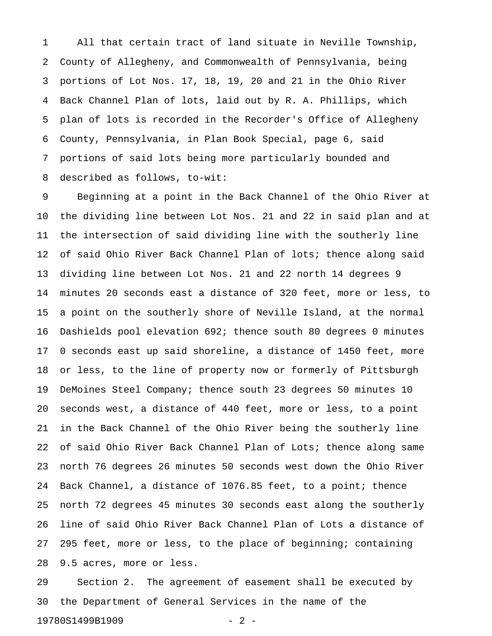1 All that certain tract of land situate in Neville Township, 2 County of Allegheny, and Commonwealth of Pennsylvania, being 3 portions of Lot Nos. 17, 18, 19, 20 and 21 in the Ohio River 4 Back Channel Plan of lots, laid out by R. A. Phillips, which 5 plan of lots is recorded in the Recorder's Office of Allegheny 6 County, Pennsylvania, in Plan Book Special, page 6, said 7 portions of said lots being more particularly bounded and 8 described as follows, to-wit:

9 Beginning at a point in the Back Channel of the Ohio River at 10 the dividing line between Lot Nos. 21 and 22 in said plan and at 11 the intersection of said dividing line with the southerly line 12 of said Ohio River Back Channel Plan of lots; thence along said 13 dividing line between Lot Nos. 21 and 22 north 14 degrees 9 14 minutes 20 seconds east a distance of 320 feet, more or less, to 15 a point on the southerly shore of Neville Island, at the normal 16 Dashields pool elevation 692; thence south 80 degrees 0 minutes 17 0 seconds east up said shoreline, a distance of 1450 feet, more 18 or less, to the line of property now or formerly of Pittsburgh 19 DeMoines Steel Company; thence south 23 degrees 50 minutes 10 20 seconds west, a distance of 440 feet, more or less, to a point 21 in the Back Channel of the Ohio River being the southerly line 22 of said Ohio River Back Channel Plan of Lots; thence along same 23 north 76 degrees 26 minutes 50 seconds west down the Ohio River 24 Back Channel, a distance of 1076.85 feet, to a point; thence 25 north 72 degrees 45 minutes 30 seconds east along the southerly 26 line of said Ohio River Back Channel Plan of Lots a distance of 27 295 feet, more or less, to the place of beginning; containing 28 9.5 acres, more or less.

29 Section 2. The agreement of easement shall be executed by 30 the Department of General Services in the name of the 19780S1499B1909 - 2 -